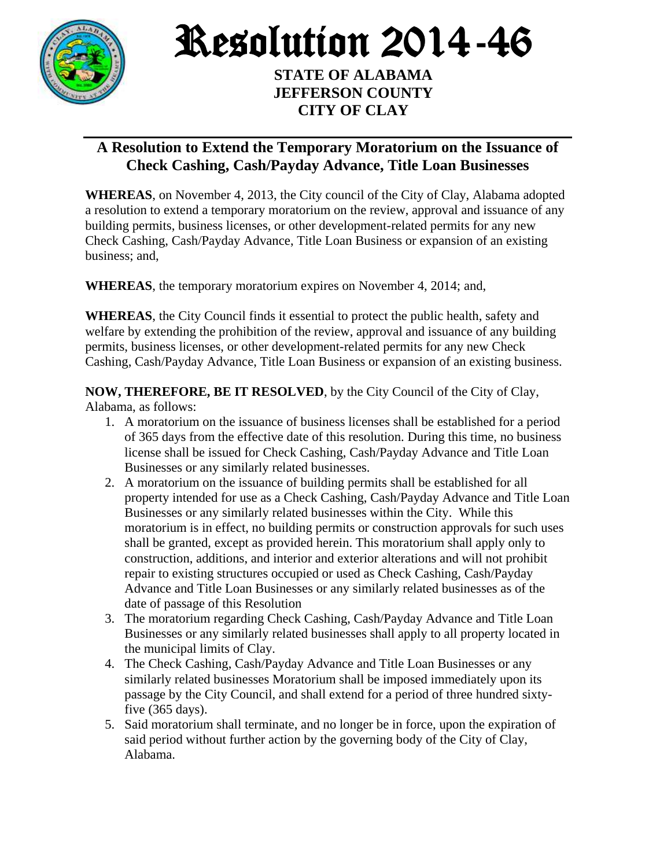

Resolution 2014-46

**STATE OF ALABAMA JEFFERSON COUNTY CITY OF CLAY**

## **A Resolution to Extend the Temporary Moratorium on the Issuance of Check Cashing, Cash/Payday Advance, Title Loan Businesses**

**WHEREAS**, on November 4, 2013, the City council of the City of Clay, Alabama adopted a resolution to extend a temporary moratorium on the review, approval and issuance of any building permits, business licenses, or other development-related permits for any new Check Cashing, Cash/Payday Advance, Title Loan Business or expansion of an existing business; and,

**WHEREAS**, the temporary moratorium expires on November 4, 2014; and,

**WHEREAS**, the City Council finds it essential to protect the public health, safety and welfare by extending the prohibition of the review, approval and issuance of any building permits, business licenses, or other development-related permits for any new Check Cashing, Cash/Payday Advance, Title Loan Business or expansion of an existing business.

**NOW, THEREFORE, BE IT RESOLVED**, by the City Council of the City of Clay, Alabama, as follows:

- 1. A moratorium on the issuance of business licenses shall be established for a period of 365 days from the effective date of this resolution. During this time, no business license shall be issued for Check Cashing, Cash/Payday Advance and Title Loan Businesses or any similarly related businesses.
- 2. A moratorium on the issuance of building permits shall be established for all property intended for use as a Check Cashing, Cash/Payday Advance and Title Loan Businesses or any similarly related businesses within the City. While this moratorium is in effect, no building permits or construction approvals for such uses shall be granted, except as provided herein. This moratorium shall apply only to construction, additions, and interior and exterior alterations and will not prohibit repair to existing structures occupied or used as Check Cashing, Cash/Payday Advance and Title Loan Businesses or any similarly related businesses as of the date of passage of this Resolution
- 3. The moratorium regarding Check Cashing, Cash/Payday Advance and Title Loan Businesses or any similarly related businesses shall apply to all property located in the municipal limits of Clay.
- 4. The Check Cashing, Cash/Payday Advance and Title Loan Businesses or any similarly related businesses Moratorium shall be imposed immediately upon its passage by the City Council, and shall extend for a period of three hundred sixtyfive (365 days).
- 5. Said moratorium shall terminate, and no longer be in force, upon the expiration of said period without further action by the governing body of the City of Clay, Alabama.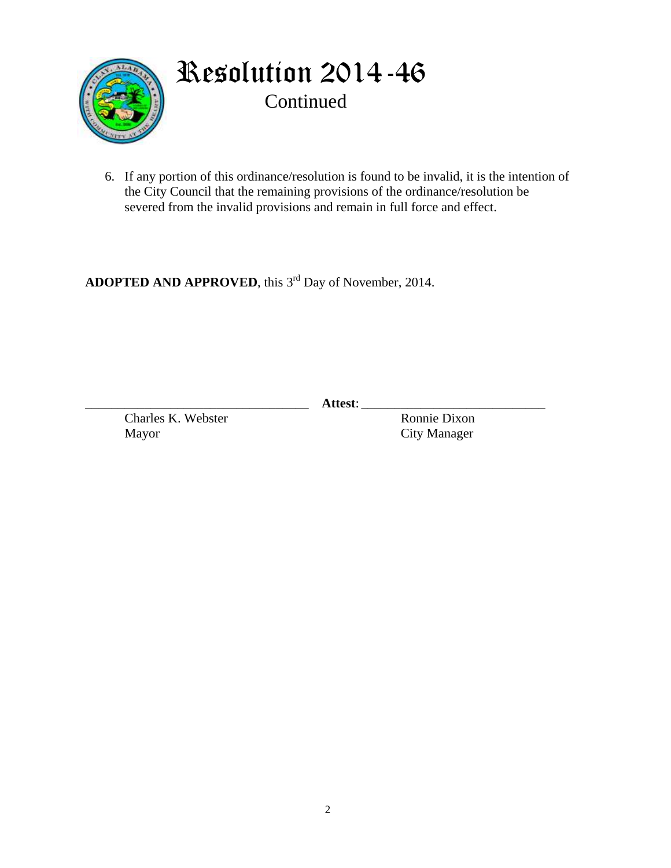

Resolution 2014-46 Continued

6. If any portion of this ordinance/resolution is found to be invalid, it is the intention of the City Council that the remaining provisions of the ordinance/resolution be severed from the invalid provisions and remain in full force and effect.

**ADOPTED AND APPROVED**, this 3 rd Day of November, 2014.

\_\_\_\_\_\_\_\_\_\_\_\_\_\_\_\_\_\_\_\_\_\_\_\_\_\_\_\_\_\_\_\_\_\_ **Attest**: \_\_\_\_\_\_\_\_\_\_\_\_\_\_\_\_\_\_\_\_\_\_\_\_\_\_\_\_

Charles K. Webster Ronnie Dixon Mayor City Manager